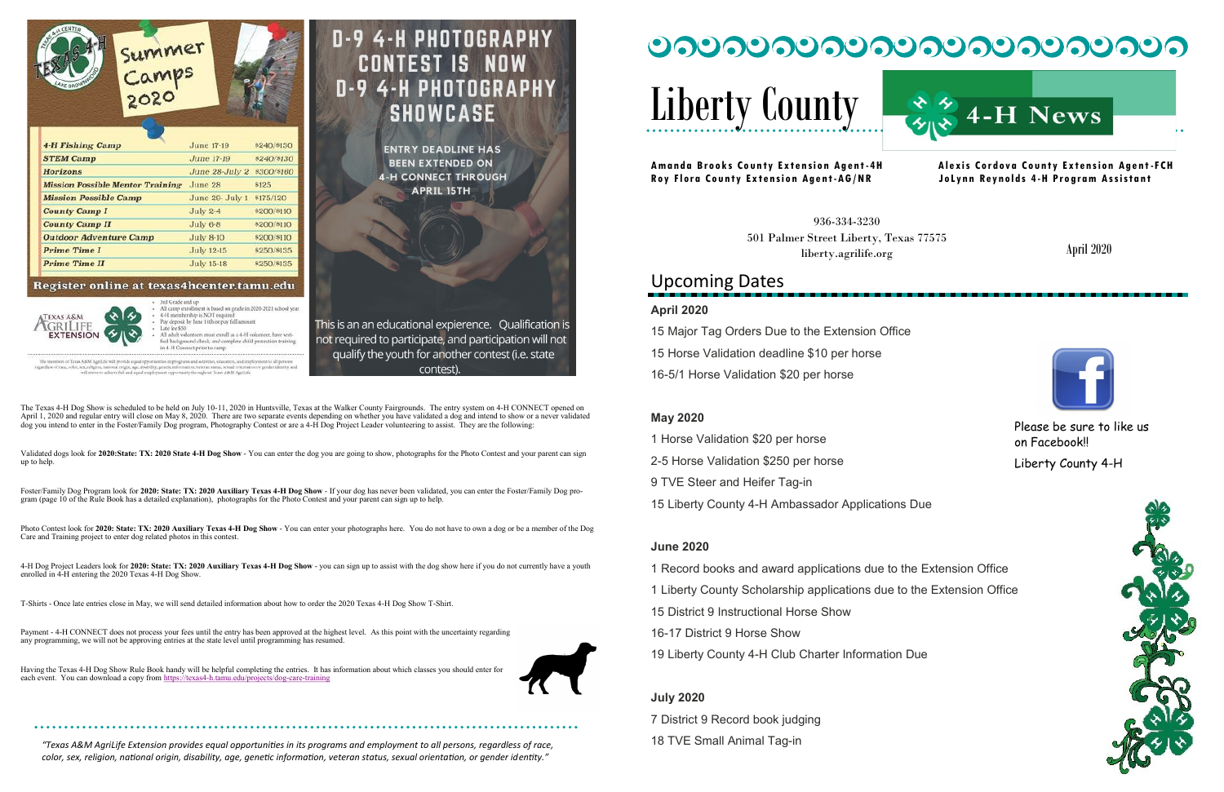| ANSAN CENTER<br>Summer<br>Camps<br>2020<br><b>LAKE BROWNING</b> |                            |             |
|-----------------------------------------------------------------|----------------------------|-------------|
| <b>4-H Fishing Camp</b>                                         | June 17-19                 | \$240/\$130 |
| <b>STEM Camp</b>                                                | June 17-19                 | \$240/8130  |
| <b>Horizons</b>                                                 | June 28-July 2 \$300/\$160 |             |
| <b>Mission Possible Mentor Training</b>                         | June 28                    | \$125       |
| <b>Mission Possible Camp</b>                                    | June 29- July 1            | \$175/120   |
| <b>County Camp I</b>                                            | $July 2-4$                 | \$200/\$110 |
| <b>County Camp II</b>                                           | $July 6-8$                 | \$200/\$110 |
| <b>Outdoor Adventure Camp</b>                                   | <b>July 8-10</b>           | \$200/\$110 |
| <b>Prime Time I</b>                                             | July 12-15                 | \$250/\$135 |
| <b>Prime Time II</b>                                            | July 15-18 \$250/\$135     |             |
|                                                                 |                            |             |

#### Register online at texas4hcenter.tamu.edu

3rd Grade and up



All camp enrollment is based on grade in 2020-2021 school year<br>4-H membership is NOT required Pay deposit by June 14th or pay full amount Late fee \$50 All adult volunteers must enroll as a 4-H volunteer, have verified background check, and complete child protection train in 4-H Connect prior to camp

 $\label{thm:main}$  The members of Texas A&M Agril,<br>the will provide equal operators and regular properties in programs and activities, education, and employment to all persons<br>gardless of race, color, see, religion, national for

*"Texas A&M AgriLife Extension provides equal opportunities in its programs and employment to all persons, regardless of race, color, sex, religion, national origin, disability, age, genetic information, veteran status, sexual orientation, or gender identity "* 

The Texas 4-H Dog Show is scheduled to be held on July 10-11, 2020 in Huntsville, Texas at the Walker County Fairgrounds. The entry system on 4-H CONNECT opened on April 1, 2020 and regular entry will close on May 8, 2020. There are two separate events depending on whether you have validated a dog and intend to show or a never validated dog you intend to enter in the Foster/Family Dog program, Photography Contest or are a 4-H Dog Project Leader volunteering to assist. They are the following:

**D-9 4-H PHOTOGRAPHY** 



**SHOWCASE** 



**ENTRY DEADLINE HAS BEEN EXTENDED ON 4-H CONNECT THROUGH APRIL 15TH** 

This is an an educational expierence. Qualification is

not required to participate, and participation will not

qualify the youth for another contest (i.e. state

contest).

**IS NOW** 

Validated dogs look for **2020:State: TX: 2020 State 4-H Dog Show** - You can enter the dog you are going to show, photographs for the Photo Contest and your parent can sign up to help.

Foster/Family Dog Program look for **2020: State: TX: 2020 Auxiliary Texas 4-H Dog Show** - If your dog has never been validated, you can enter the Foster/Family Dog program (page 10 of the Rule Book has a detailed explanation), photographs for the Photo Contest and your parent can sign up to help.

Photo Contest look for **2020: State: TX: 2020 Auxiliary Texas 4-H Dog Show** - You can enter your photographs here. You do not have to own a dog or be a member of the Dog Care and Training project to enter dog related photos in this contest.

**Aman da B ro ok s Co un ty Ex te n si on Ag en t- 4H Ale xi s Co rdova C ou nty E x ten sion Age n t-F CH Roy Flora County Extension Agent-AG/NR JoLynn Reynolds 4–H Program Assistant** 

4-H Dog Project Leaders look for **2020: State: TX: 2020 Auxiliary Texas 4-H Dog Show** - you can sign up to assist with the dog show here if you do not currently have a youth enrolled in 4-H entering the 2020 Texas 4-H Dog Show.

T-Shirts - Once late entries close in May, we will send detailed information about how to order the 2020 Texas 4-H Dog Show T-Shirt.

Payment - 4-H CONNECT does not process your fees until the entry has been approved at the highest level. As this point with the uncertainty regarding any programming, we will not be approving entries at the state level until programming has resumed.

Having the Texas 4-H Dog Show Rule Book handy will be helpful completing the entries. It has information about which classes you should enter for each event. You can download a copy from https://texas4-[h.tamu.edu/projects/dog](https://texas4-h.tamu.edu/projects/dog-care-training)-care-training



936-334-3230 501 Palmer Street Liberty, Texas 77575 liberty.agrilife.org



#### **April 2020**

15 Major Tag Orders Due to the Extension Office 15 Horse Validation deadline \$10 per horse 16-5/1 Horse Validation \$20 per horse

#### **May 2020**

1 Horse Validation \$20 per horse 2-5 Horse Validation \$250 per horse 9 TVE Steer and Heifer Tag-in 15 Liberty County 4-H Ambassador Applications Due

#### **June 2020**

1 Record books and award applications due to the Extension Office

1 Liberty County Scholarship applications due to the Extension Office

15 District 9 Instructional Horse Show

- 16-17 District 9 Horse Show
- 19 Liberty County 4-H Club Charter Information Due

#### **July 2020**

7 District 9 Record book judging 18 TVE Small Animal Tag-in

April 2020



## Upcoming Dates

Please be sure to like us on Facebook!!

Liberty County 4-H